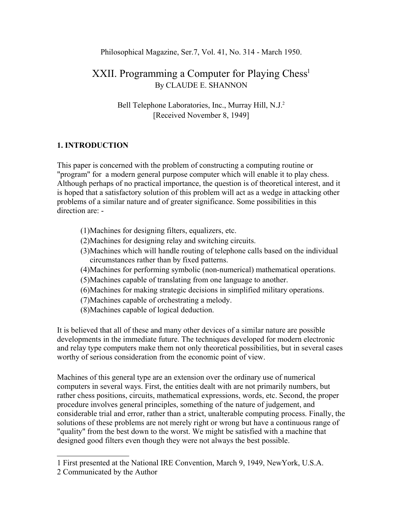Philosophical Magazine, Ser.7, Vol. 41, No. 314 - March 1950.

# XXII. Programming a Computer for Playing Chess<sup>1</sup> By CLAUDE E. SHANNON

Bell Telephone Laboratories, Inc., Murray Hill, N.J.<sup>2</sup> [Received November 8, 1949]

# **1. INTRODUCTION**

This paper is concerned with the problem of constructing a computing routine or "program" for a modern general purpose computer which will enable it to play chess. Although perhaps of no practical importance, the question is of theoretical interest, and it is hoped that a satisfactory solution of this problem will act as a wedge in attacking other problems of a similar nature and of greater significance. Some possibilities in this direction are: -

- (1)Machines for designing filters, equalizers, etc.
- (2)Machines for designing relay and switching circuits.
- (3)Machines which will handle routing of telephone calls based on the individual circumstances rather than by fixed patterns.
- (4)Machines for performing symbolic (non-numerical) mathematical operations.
- (5)Machines capable of translating from one language to another.
- (6)Machines for making strategic decisions in simplified military operations.
- (7)Machines capable of orchestrating a melody.
- (8)Machines capable of logical deduction.

It is believed that all of these and many other devices of a similar nature are possible developments in the immediate future. The techniques developed for modern electronic and relay type computers make them not only theoretical possibilities, but in several cases worthy of serious consideration from the economic point of view.

Machines of this general type are an extension over the ordinary use of numerical computers in several ways. First, the entities dealt with are not primarily numbers, but rather chess positions, circuits, mathematical expressions, words, etc. Second, the proper procedure involves general principles, something of the nature of judgement, and considerable trial and error, rather than a strict, unalterable computing process. Finally, the solutions of these problems are not merely right or wrong but have a continuous range of "quality" from the best down to the worst. We might be satisfied with a machine that designed good filters even though they were not always the best possible.

<sup>1</sup> First presented at the National IRE Convention, March 9, 1949, NewYork, U.S.A.

<sup>2</sup> Communicated by the Author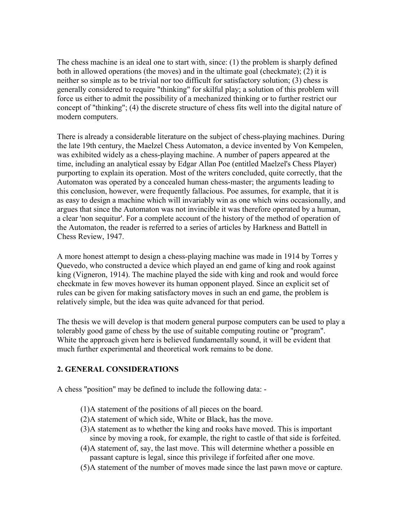The chess machine is an ideal one to start with, since: (1) the problem is sharply defined both in allowed operations (the moves) and in the ultimate goal (checkmate); (2) it is neither so simple as to be trivial nor too difficult for satisfactory solution; (3) chess is generally considered to require "thinking" for skilful play; a solution of this problem will force us either to admit the possibility of a mechanized thinking or to further restrict our concept of "thinking"; (4) the discrete structure of chess fits well into the digital nature of modern computers.

There is already a considerable literature on the subject of chess-playing machines. During the late 19th century, the Maelzel Chess Automaton, a device invented by Von Kempelen, was exhibited widely as a chess-playing machine. A number of papers appeared at the time, including an analytical essay by Edgar Allan Poe (entitled Maelzel's Chess Player) purporting to explain its operation. Most of the writers concluded, quite correctly, that the Automaton was operated by a concealed human chess-master; the arguments leading to this conclusion, however, were frequently fallacious. Poe assumes, for example, that it is as easy to design a machine which will invariably win as one which wins occasionally, and argues that since the Automaton was not invincible it was therefore operated by a human, a clear 'non sequitur'. For a complete account of the history of the method of operation of the Automaton, the reader is referred to a series of articles by Harkness and Battell in Chess Review, 1947.

A more honest attempt to design a chess-playing machine was made in 1914 by Torres y Quevedo, who constructed a device which played an end game of king and rook against king (Vigneron, 1914). The machine played the side with king and rook and would force checkmate in few moves however its human opponent played. Since an explicit set of rules can be given for making satisfactory moves in such an end game, the problem is relatively simple, but the idea was quite advanced for that period.

The thesis we will develop is that modern general purpose computers can be used to play a tolerably good game of chess by the use of suitable computing routine or "program". White the approach given here is believed fundamentally sound, it will be evident that much further experimental and theoretical work remains to be done.

### **2. GENERAL CONSIDERATIONS**

A chess "position" may be defined to include the following data: -

- (1)A statement of the positions of all pieces on the board.
- (2)A statement of which side, White or Black, has the move.
- (3)A statement as to whether the king and rooks have moved. This is important since by moving a rook, for example, the right to castle of that side is forfeited.
- (4)A statement of, say, the last move. This will determine whether a possible en passant capture is legal, since this privilege if forfeited after one move.
- (5)A statement of the number of moves made since the last pawn move or capture.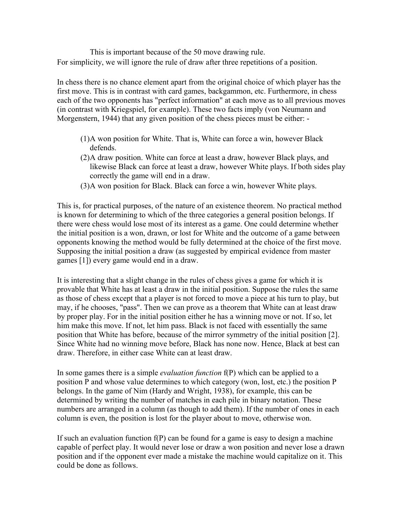This is important because of the 50 move drawing rule. For simplicity, we will ignore the rule of draw after three repetitions of a position.

In chess there is no chance element apart from the original choice of which player has the first move. This is in contrast with card games, backgammon, etc. Furthermore, in chess each of the two opponents has "perfect information" at each move as to all previous moves (in contrast with Kriegspiel, for example). These two facts imply (von Neumann and Morgenstern, 1944) that any given position of the chess pieces must be either: -

- (1)A won position for White. That is, White can force a win, however Black defends.
- (2)A draw position. White can force at least a draw, however Black plays, and likewise Black can force at least a draw, however White plays. If both sides play correctly the game will end in a draw.
- (3)A won position for Black. Black can force a win, however White plays.

This is, for practical purposes, of the nature of an existence theorem. No practical method is known for determining to which of the three categories a general position belongs. If there were chess would lose most of its interest as a game. One could determine whether the initial position is a won, drawn, or lost for White and the outcome of a game between opponents knowing the method would be fully determined at the choice of the first move. Supposing the initial position a draw (as suggested by empirical evidence from master games [1]) every game would end in a draw.

It is interesting that a slight change in the rules of chess gives a game for which it is provable that White has at least a draw in the initial position. Suppose the rules the same as those of chess except that a player is not forced to move a piece at his turn to play, but may, if he chooses, "pass". Then we can prove as a theorem that White can at least draw by proper play. For in the initial position either he has a winning move or not. If so, let him make this move. If not, let him pass. Black is not faced with essentially the same position that White has before, because of the mirror symmetry of the initial position [2]. Since White had no winning move before, Black has none now. Hence, Black at best can draw. Therefore, in either case White can at least draw.

In some games there is a simple *evaluation function* f(P) which can be applied to a position P and whose value determines to which category (won, lost, etc.) the position P belongs. In the game of Nim (Hardy and Wright, 1938), for example, this can be determined by writing the number of matches in each pile in binary notation. These numbers are arranged in a column (as though to add them). If the number of ones in each column is even, the position is lost for the player about to move, otherwise won.

If such an evaluation function  $f(P)$  can be found for a game is easy to design a machine capable of perfect play. It would never lose or draw a won position and never lose a drawn position and if the opponent ever made a mistake the machine would capitalize on it. This could be done as follows.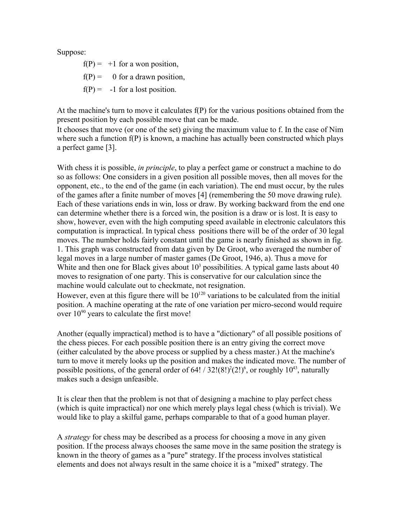Suppose:

 $f(P) = +1$  for a won position,  $f(P) = 0$  for a drawn position,  $f(P) = -1$  for a lost position.

At the machine's turn to move it calculates f(P) for the various positions obtained from the present position by each possible move that can be made.

It chooses that move (or one of the set) giving the maximum value to f. In the case of Nim where such a function  $f(P)$  is known, a machine has actually been constructed which plays a perfect game [3].

With chess it is possible, *in principle*, to play a perfect game or construct a machine to do so as follows: One considers in a given position all possible moves, then all moves for the opponent, etc., to the end of the game (in each variation). The end must occur, by the rules of the games after a finite number of moves [4] (remembering the 50 move drawing rule). Each of these variations ends in win, loss or draw. By working backward from the end one can determine whether there is a forced win, the position is a draw or is lost. It is easy to show, however, even with the high computing speed available in electronic calculators this computation is impractical. In typical chess positions there will be of the order of 30 legal moves. The number holds fairly constant until the game is nearly finished as shown in fig. 1. This graph was constructed from data given by De Groot, who averaged the number of legal moves in a large number of master games (De Groot, 1946, a). Thus a move for White and then one for Black gives about  $10<sup>3</sup>$  possibilities. A typical game lasts about 40 moves to resignation of one party. This is conservative for our calculation since the machine would calculate out to checkmate, not resignation.

However, even at this figure there will be  $10^{120}$  variations to be calculated from the initial position. A machine operating at the rate of one variation per micro-second would require over  $10^{90}$  years to calculate the first move!

Another (equally impractical) method is to have a "dictionary" of all possible positions of the chess pieces. For each possible position there is an entry giving the correct move (either calculated by the above process or supplied by a chess master.) At the machine's turn to move it merely looks up the position and makes the indicated move. The number of possible positions, of the general order of 64! /  $32!(8!)^2(2!)^6$ , or roughly  $10^{43}$ , naturally makes such a design unfeasible.

It is clear then that the problem is not that of designing a machine to play perfect chess (which is quite impractical) nor one which merely plays legal chess (which is trivial). We would like to play a skilful game, perhaps comparable to that of a good human player.

A *strategy* for chess may be described as a process for choosing a move in any given position. If the process always chooses the same move in the same position the strategy is known in the theory of games as a "pure" strategy. If the process involves statistical elements and does not always result in the same choice it is a "mixed" strategy. The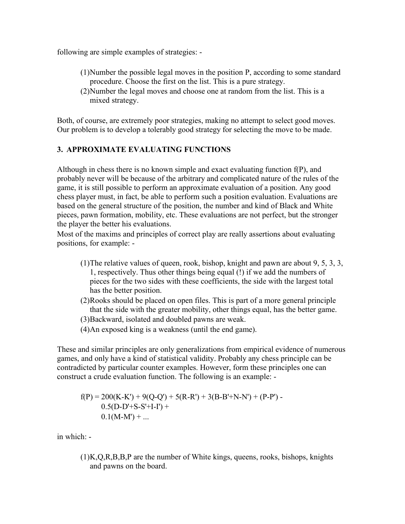following are simple examples of strategies: -

- (1)Number the possible legal moves in the position P, according to some standard procedure. Choose the first on the list. This is a pure strategy.
- (2)Number the legal moves and choose one at random from the list. This is a mixed strategy.

Both, of course, are extremely poor strategies, making no attempt to select good moves. Our problem is to develop a tolerably good strategy for selecting the move to be made.

# **3. APPROXIMATE EVALUATING FUNCTIONS**

Although in chess there is no known simple and exact evaluating function f(P), and probably never will be because of the arbitrary and complicated nature of the rules of the game, it is still possible to perform an approximate evaluation of a position. Any good chess player must, in fact, be able to perform such a position evaluation. Evaluations are based on the general structure of the position, the number and kind of Black and White pieces, pawn formation, mobility, etc. These evaluations are not perfect, but the stronger the player the better his evaluations.

Most of the maxims and principles of correct play are really assertions about evaluating positions, for example: -

- (1)The relative values of queen, rook, bishop, knight and pawn are about 9, 5, 3, 3, 1, respectively. Thus other things being equal (!) if we add the numbers of pieces for the two sides with these coefficients, the side with the largest total has the better position.
- (2)Rooks should be placed on open files. This is part of a more general principle that the side with the greater mobility, other things equal, has the better game.
- (3)Backward, isolated and doubled pawns are weak.
- (4)An exposed king is a weakness (until the end game).

These and similar principles are only generalizations from empirical evidence of numerous games, and only have a kind of statistical validity. Probably any chess principle can be contradicted by particular counter examples. However, form these principles one can construct a crude evaluation function. The following is an example: -

$$
f(P) = 200(K-K') + 9(Q-Q') + 5(R-R') + 3(B-B'+N-N') + (P-P') - 0.5(D-D'+S-S'+I-I') + 0.1(M-M') + ...
$$

in which: -

(1)K,Q,R,B,B,P are the number of White kings, queens, rooks, bishops, knights and pawns on the board.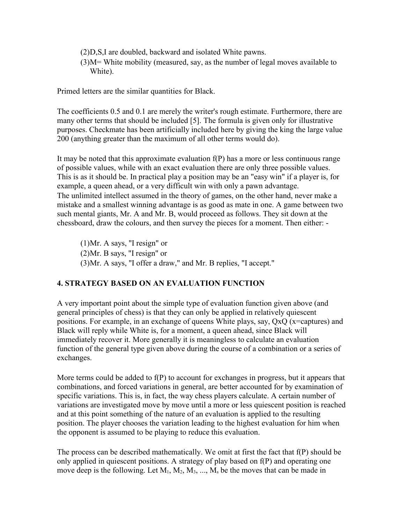- (2)D,S,I are doubled, backward and isolated White pawns.
- (3)M= White mobility (measured, say, as the number of legal moves available to White).

Primed letters are the similar quantities for Black.

The coefficients 0.5 and 0.1 are merely the writer's rough estimate. Furthermore, there are many other terms that should be included [5]. The formula is given only for illustrative purposes. Checkmate has been artificially included here by giving the king the large value 200 (anything greater than the maximum of all other terms would do).

It may be noted that this approximate evaluation  $f(P)$  has a more or less continuous range of possible values, while with an exact evaluation there are only three possible values. This is as it should be. In practical play a position may be an "easy win" if a player is, for example, a queen ahead, or a very difficult win with only a pawn advantage. The unlimited intellect assumed in the theory of games, on the other hand, never make a mistake and a smallest winning advantage is as good as mate in one. A game between two such mental giants, Mr. A and Mr. B, would proceed as follows. They sit down at the chessboard, draw the colours, and then survey the pieces for a moment. Then either: -

(1)Mr. A says, "I resign" or (2)Mr. B says, "I resign" or (3)Mr. A says, "I offer a draw," and Mr. B replies, "I accept."

#### **4. STRATEGY BASED ON AN EVALUATION FUNCTION**

A very important point about the simple type of evaluation function given above (and general principles of chess) is that they can only be applied in relatively quiescent positions. For example, in an exchange of queens White plays, say, QxQ (x=captures) and Black will reply while White is, for a moment, a queen ahead, since Black will immediately recover it. More generally it is meaningless to calculate an evaluation function of the general type given above during the course of a combination or a series of exchanges.

More terms could be added to f(P) to account for exchanges in progress, but it appears that combinations, and forced variations in general, are better accounted for by examination of specific variations. This is, in fact, the way chess players calculate. A certain number of variations are investigated move by move until a more or less quiescent position is reached and at this point something of the nature of an evaluation is applied to the resulting position. The player chooses the variation leading to the highest evaluation for him when the opponent is assumed to be playing to reduce this evaluation.

The process can be described mathematically. We omit at first the fact that f(P) should be only applied in quiescent positions. A strategy of play based on f(P) and operating one move deep is the following. Let  $M_1, M_2, M_3, \dots, M_s$  be the moves that can be made in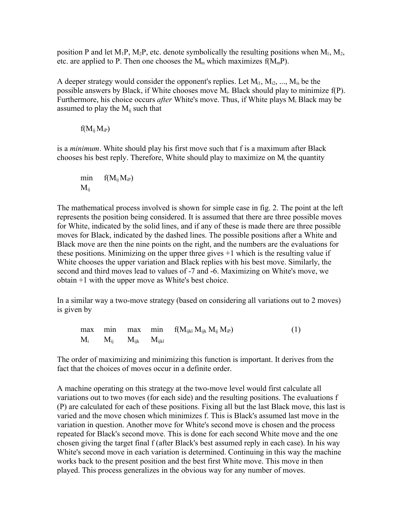position P and let  $M_1P$ ,  $M_2P$ , etc. denote symbolically the resulting positions when  $M_1$ ,  $M_2$ , etc. are applied to P. Then one chooses the  $M_m$  which maximizes  $f(M_mP)$ .

A deeper strategy would consider the opponent's replies. Let  $M_{i1}$ ,  $M_{i2}$ , ...,  $M_{is}$  be the possible answers by Black, if White chooses move Mi. Black should play to minimize f(P). Furthermore, his choice occurs *after* White's move. Thus, if White plays M<sub>i</sub> Black may be assumed to play the  $M_{ii}$  such that

 $f(M_{ii}M_{ip})$ 

is a *minimum*. White should play his first move such that f is a maximum after Black chooses his best reply. Therefore, White should play to maximize on Mi the quantity

$$
\begin{array}{ll}\n\text{min} & f(M_{ij} M_{iP}) \\
M_{ij}\n\end{array}
$$

The mathematical process involved is shown for simple case in fig. 2. The point at the left represents the position being considered. It is assumed that there are three possible moves for White, indicated by the solid lines, and if any of these is made there are three possible moves for Black, indicated by the dashed lines. The possible positions after a White and Black move are then the nine points on the right, and the numbers are the evaluations for these positions. Minimizing on the upper three gives +1 which is the resulting value if White chooses the upper variation and Black replies with his best move. Similarly, the second and third moves lead to values of -7 and -6. Maximizing on White's move, we obtain +1 with the upper move as White's best choice.

In a similar way a two-move strategy (based on considering all variations out to 2 moves) is given by

max min max min  $f(M_{ijkl} M_{ijk} M_{ij} M_{ip})$  (1)  $M_i$   $M_{ij}$   $M_{ijk}$   $M_{ijkl}$ 

The order of maximizing and minimizing this function is important. It derives from the fact that the choices of moves occur in a definite order.

A machine operating on this strategy at the two-move level would first calculate all variations out to two moves (for each side) and the resulting positions. The evaluations f (P) are calculated for each of these positions. Fixing all but the last Black move, this last is varied and the move chosen which minimizes f. This is Black's assumed last move in the variation in question. Another move for White's second move is chosen and the process repeated for Black's second move. This is done for each second White move and the one chosen giving the target final f (after Black's best assumed reply in each case). In his way White's second move in each variation is determined. Continuing in this way the machine works back to the present position and the best first White move. This move in then played. This process generalizes in the obvious way for any number of moves.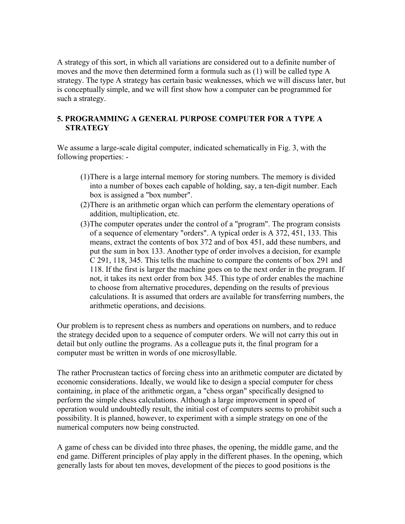A strategy of this sort, in which all variations are considered out to a definite number of moves and the move then determined form a formula such as (1) will be called type A strategy. The type A strategy has certain basic weaknesses, which we will discuss later, but is conceptually simple, and we will first show how a computer can be programmed for such a strategy.

# **5. PROGRAMMING A GENERAL PURPOSE COMPUTER FOR A TYPE A STRATEGY**

We assume a large-scale digital computer, indicated schematically in Fig. 3, with the following properties: -

- (1)There is a large internal memory for storing numbers. The memory is divided into a number of boxes each capable of holding, say, a ten-digit number. Each box is assigned a "box number".
- (2)There is an arithmetic organ which can perform the elementary operations of addition, multiplication, etc.
- (3)The computer operates under the control of a "program". The program consists of a sequence of elementary "orders". A typical order is A 372, 451, 133. This means, extract the contents of box 372 and of box 451, add these numbers, and put the sum in box 133. Another type of order involves a decision, for example C 291, 118, 345. This tells the machine to compare the contents of box 291 and 118. If the first is larger the machine goes on to the next order in the program. If not, it takes its next order from box 345. This type of order enables the machine to choose from alternative procedures, depending on the results of previous calculations. It is assumed that orders are available for transferring numbers, the arithmetic operations, and decisions.

Our problem is to represent chess as numbers and operations on numbers, and to reduce the strategy decided upon to a sequence of computer orders. We will not carry this out in detail but only outline the programs. As a colleague puts it, the final program for a computer must be written in words of one microsyllable.

The rather Procrustean tactics of forcing chess into an arithmetic computer are dictated by economic considerations. Ideally, we would like to design a special computer for chess containing, in place of the arithmetic organ, a "chess organ" specifically designed to perform the simple chess calculations. Although a large improvement in speed of operation would undoubtedly result, the initial cost of computers seems to prohibit such a possibility. It is planned, however, to experiment with a simple strategy on one of the numerical computers now being constructed.

A game of chess can be divided into three phases, the opening, the middle game, and the end game. Different principles of play apply in the different phases. In the opening, which generally lasts for about ten moves, development of the pieces to good positions is the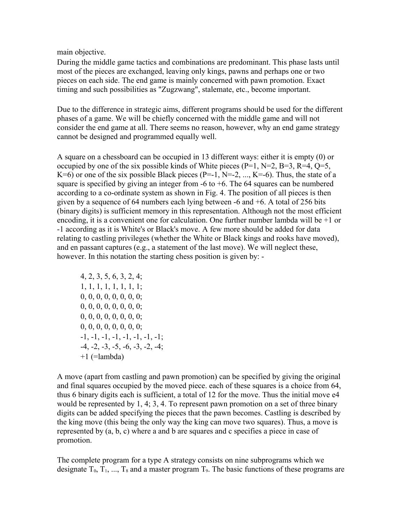main objective.

During the middle game tactics and combinations are predominant. This phase lasts until most of the pieces are exchanged, leaving only kings, pawns and perhaps one or two pieces on each side. The end game is mainly concerned with pawn promotion. Exact timing and such possibilities as "Zugzwang", stalemate, etc., become important.

Due to the difference in strategic aims, different programs should be used for the different phases of a game. We will be chiefly concerned with the middle game and will not consider the end game at all. There seems no reason, however, why an end game strategy cannot be designed and programmed equally well.

A square on a chessboard can be occupied in 13 different ways: either it is empty (0) or occupied by one of the six possible kinds of White pieces  $(P=1, N=2, B=3, R=4, Q=5,$ K=6) or one of the six possible Black pieces  $(P=1, N=2, ..., K=-6)$ . Thus, the state of a square is specified by giving an integer from  $-6$  to  $+6$ . The 64 squares can be numbered according to a co-ordinate system as shown in Fig. 4. The position of all pieces is then given by a sequence of 64 numbers each lying between -6 and +6. A total of 256 bits (binary digits) is sufficient memory in this representation. Although not the most efficient encoding, it is a convenient one for calculation. One further number lambda will be +1 or -1 according as it is White's or Black's move. A few more should be added for data relating to castling privileges (whether the White or Black kings and rooks have moved), and en passant captures (e.g., a statement of the last move). We will neglect these, however. In this notation the starting chess position is given by: -

4, 2, 3, 5, 6, 3, 2, 4; 1, 1, 1, 1, 1, 1, 1, 1; 0, 0, 0, 0, 0, 0, 0, 0; 0, 0, 0, 0, 0, 0, 0, 0; 0, 0, 0, 0, 0, 0, 0, 0; 0, 0, 0, 0, 0, 0, 0, 0;  $-1, -1, -1, -1, -1, -1, -1, -1;$ -4, -2, -3, -5, -6, -3, -2, -4;  $+1$  (=lambda)

A move (apart from castling and pawn promotion) can be specified by giving the original and final squares occupied by the moved piece. each of these squares is a choice from 64, thus 6 binary digits each is sufficient, a total of 12 for the move. Thus the initial move e4 would be represented by 1, 4; 3, 4. To represent pawn promotion on a set of three binary digits can be added specifying the pieces that the pawn becomes. Castling is described by the king move (this being the only way the king can move two squares). Thus, a move is represented by (a, b, c) where a and b are squares and c specifies a piece in case of promotion.

The complete program for a type A strategy consists on nine subprograms which we designate  $T_0, T_1, ..., T_8$  and a master program  $T_9$ . The basic functions of these programs are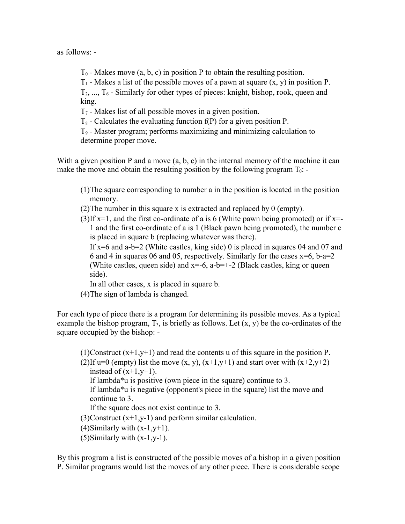as follows: -

 $T_0$  - Makes move (a, b, c) in position P to obtain the resulting position.

 $T_1$  - Makes a list of the possible moves of a pawn at square  $(x, y)$  in position P.

 $T_2, \ldots, T_6$  - Similarly for other types of pieces: knight, bishop, rook, queen and king.

T7 - Makes list of all possible moves in a given position.

 $T_8$  - Calculates the evaluating function  $f(P)$  for a given position P.

T9 - Master program; performs maximizing and minimizing calculation to determine proper move.

With a given position P and a move  $(a, b, c)$  in the internal memory of the machine it can make the move and obtain the resulting position by the following program  $T_0$ : -

- (1)The square corresponding to number a in the position is located in the position memory.
- (2)The number in this square x is extracted and replaced by 0 (empty).
- (3)If  $x=1$ , and the first co-ordinate of a is 6 (White pawn being promoted) or if  $x=$ -1 and the first co-ordinate of a is 1 (Black pawn being promoted), the number c is placed in square b (replacing whatever was there).

If  $x=6$  and a-b=2 (White castles, king side) 0 is placed in squares 04 and 07 and 6 and 4 in squares 06 and 05, respectively. Similarly for the cases  $x=6$ , b-a=2 (White castles, queen side) and  $x=-6$ , a-b=+-2 (Black castles, king or queen side).

In all other cases, x is placed in square b.

(4)The sign of lambda is changed.

For each type of piece there is a program for determining its possible moves. As a typical example the bishop program,  $T_3$ , is briefly as follows. Let  $(x, y)$  be the co-ordinates of the square occupied by the bishop: -

(1)Construct  $(x+1,y+1)$  and read the contents u of this square in the position P. (2)If u=0 (empty) list the move  $(x, y)$ ,  $(x+1,y+1)$  and start over with  $(x+2,y+2)$ instead of  $(x+1,y+1)$ . If lambda\*u is positive (own piece in the square) continue to 3. If lambda\*u is negative (opponent's piece in the square) list the move and continue to 3. If the square does not exist continue to 3. (3)Construct  $(x+1,y-1)$  and perform similar calculation.  $(4)$ Similarly with  $(x-1,y+1)$ .  $(5)$ Similarly with  $(x-1,y-1)$ .

By this program a list is constructed of the possible moves of a bishop in a given position P. Similar programs would list the moves of any other piece. There is considerable scope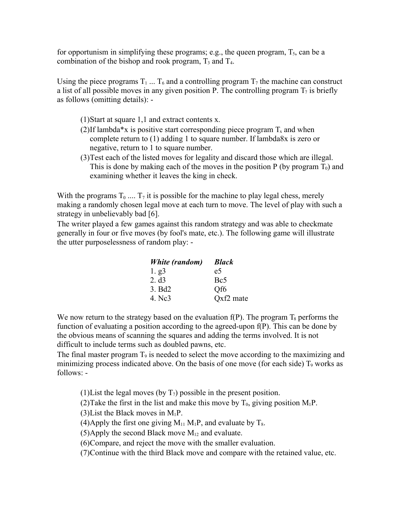for opportunism in simplifying these programs; e.g., the queen program,  $T_5$ , can be a combination of the bishop and rook program,  $T_3$  and  $T_4$ .

Using the piece programs  $T_1$ ...  $T_6$  and a controlling program  $T_7$  the machine can construct a list of all possible moves in any given position P. The controlling program  $T_7$  is briefly as follows (omitting details): -

- (1)Start at square 1,1 and extract contents x.
- (2)If lambda\*x is positive start corresponding piece program  $T_x$  and when complete return to (1) adding 1 to square number. If lambda8x is zero or negative, return to 1 to square number.
- (3)Test each of the listed moves for legality and discard those which are illegal. This is done by making each of the moves in the position P (by program  $T_0$ ) and examining whether it leaves the king in check.

With the programs  $T_0$  ....  $T_7$  it is possible for the machine to play legal chess, merely making a randomly chosen legal move at each turn to move. The level of play with such a strategy in unbelievably bad [6].

The writer played a few games against this random strategy and was able to checkmate generally in four or five moves (by fool's mate, etc.). The following game will illustrate the utter purposelessness of random play: -

| White (random) | <b>Black</b>    |
|----------------|-----------------|
| 1. $g3$        | e5              |
| 2. d3          | Bc <sub>5</sub> |
| 3. Bd2         | Qf6             |
| 4. Nc3         | $Qxf2$ mate     |

We now return to the strategy based on the evaluation  $f(P)$ . The program  $T_8$  performs the function of evaluating a position according to the agreed-upon f(P). This can be done by the obvious means of scanning the squares and adding the terms involved. It is not difficult to include terms such as doubled pawns, etc.

The final master program  $T_9$  is needed to select the move according to the maximizing and minimizing process indicated above. On the basis of one move (for each side)  $T<sub>9</sub>$  works as follows: -

(1) List the legal moves (by  $T_7$ ) possible in the present position.

(2) Take the first in the list and make this move by  $T_0$ , giving position  $M_1P$ .

(3) List the Black moves in  $M_1P$ .

(4)Apply the first one giving  $M_{11}$   $M_1P$ , and evaluate by  $T_8$ .

(5)Apply the second Black move  $M<sub>12</sub>$  and evaluate.

(6)Compare, and reject the move with the smaller evaluation.

(7)Continue with the third Black move and compare with the retained value, etc.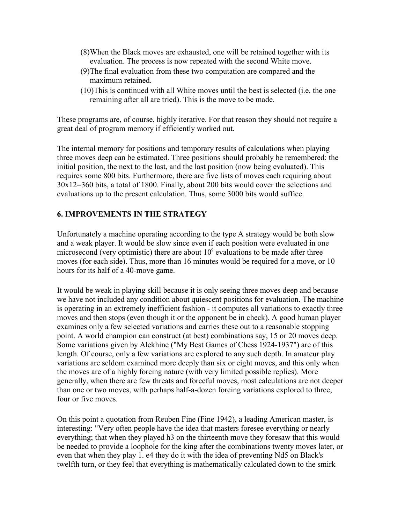- (8)When the Black moves are exhausted, one will be retained together with its evaluation. The process is now repeated with the second White move.
- (9)The final evaluation from these two computation are compared and the maximum retained.
- (10)This is continued with all White moves until the best is selected (i.e. the one remaining after all are tried). This is the move to be made.

These programs are, of course, highly iterative. For that reason they should not require a great deal of program memory if efficiently worked out.

The internal memory for positions and temporary results of calculations when playing three moves deep can be estimated. Three positions should probably be remembered: the initial position, the next to the last, and the last position (now being evaluated). This requires some 800 bits. Furthermore, there are five lists of moves each requiring about 30x12=360 bits, a total of 1800. Finally, about 200 bits would cover the selections and evaluations up to the present calculation. Thus, some 3000 bits would suffice.

# **6. IMPROVEMENTS IN THE STRATEGY**

Unfortunately a machine operating according to the type A strategy would be both slow and a weak player. It would be slow since even if each position were evaluated in one microsecond (very optimistic) there are about  $10^9$  evaluations to be made after three moves (for each side). Thus, more than 16 minutes would be required for a move, or 10 hours for its half of a 40-move game.

It would be weak in playing skill because it is only seeing three moves deep and because we have not included any condition about quiescent positions for evaluation. The machine is operating in an extremely inefficient fashion - it computes all variations to exactly three moves and then stops (even though it or the opponent be in check). A good human player examines only a few selected variations and carries these out to a reasonable stopping point. A world champion can construct (at best) combinations say, 15 or 20 moves deep. Some variations given by Alekhine ("My Best Games of Chess 1924-1937") are of this length. Of course, only a few variations are explored to any such depth. In amateur play variations are seldom examined more deeply than six or eight moves, and this only when the moves are of a highly forcing nature (with very limited possible replies). More generally, when there are few threats and forceful moves, most calculations are not deeper than one or two moves, with perhaps half-a-dozen forcing variations explored to three, four or five moves.

On this point a quotation from Reuben Fine (Fine 1942), a leading American master, is interesting: "Very often people have the idea that masters foresee everything or nearly everything; that when they played h3 on the thirteenth move they foresaw that this would be needed to provide a loophole for the king after the combinations twenty moves later, or even that when they play 1. e4 they do it with the idea of preventing Nd5 on Black's twelfth turn, or they feel that everything is mathematically calculated down to the smirk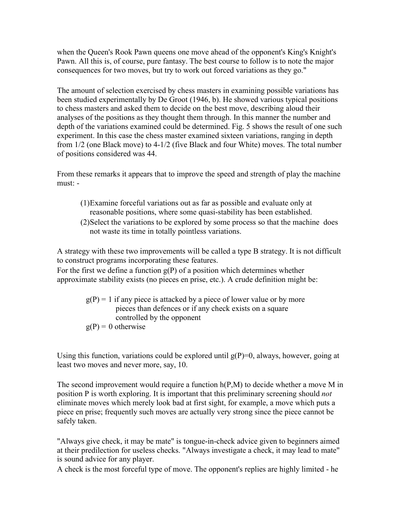when the Queen's Rook Pawn queens one move ahead of the opponent's King's Knight's Pawn. All this is, of course, pure fantasy. The best course to follow is to note the major consequences for two moves, but try to work out forced variations as they go."

The amount of selection exercised by chess masters in examining possible variations has been studied experimentally by De Groot (1946, b). He showed various typical positions to chess masters and asked them to decide on the best move, describing aloud their analyses of the positions as they thought them through. In this manner the number and depth of the variations examined could be determined. Fig. 5 shows the result of one such experiment. In this case the chess master examined sixteen variations, ranging in depth from 1/2 (one Black move) to 4-1/2 (five Black and four White) moves. The total number of positions considered was 44.

From these remarks it appears that to improve the speed and strength of play the machine must: -

- (1)Examine forceful variations out as far as possible and evaluate only at reasonable positions, where some quasi-stability has been established.
- (2)Select the variations to be explored by some process so that the machine does not waste its time in totally pointless variations.

A strategy with these two improvements will be called a type B strategy. It is not difficult to construct programs incorporating these features. For the first we define a function  $g(P)$  of a position which determines whether

approximate stability exists (no pieces en prise, etc.). A crude definition might be:

- $g(P) = 1$  if any piece is attacked by a piece of lower value or by more pieces than defences or if any check exists on a square controlled by the opponent
- $g(P) = 0$  otherwise

Using this function, variations could be explored until  $g(P)=0$ , always, however, going at least two moves and never more, say, 10.

The second improvement would require a function h(P,M) to decide whether a move M in position P is worth exploring. It is important that this preliminary screening should *not* eliminate moves which merely look bad at first sight, for example, a move which puts a piece en prise; frequently such moves are actually very strong since the piece cannot be safely taken.

"Always give check, it may be mate" is tongue-in-check advice given to beginners aimed at their predilection for useless checks. "Always investigate a check, it may lead to mate" is sound advice for any player.

A check is the most forceful type of move. The opponent's replies are highly limited - he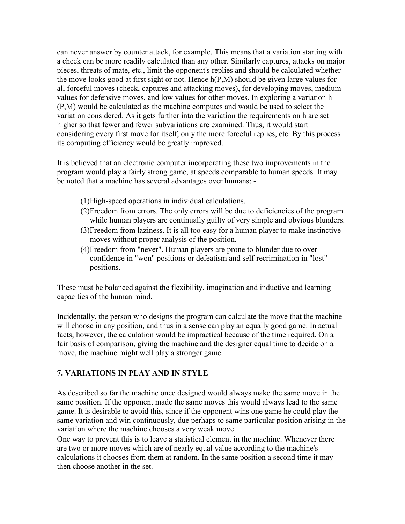can never answer by counter attack, for example. This means that a variation starting with a check can be more readily calculated than any other. Similarly captures, attacks on major pieces, threats of mate, etc., limit the opponent's replies and should be calculated whether the move looks good at first sight or not. Hence  $h(P,M)$  should be given large values for all forceful moves (check, captures and attacking moves), for developing moves, medium values for defensive moves, and low values for other moves. In exploring a variation h (P,M) would be calculated as the machine computes and would be used to select the variation considered. As it gets further into the variation the requirements on h are set higher so that fewer and fewer subvariations are examined. Thus, it would start considering every first move for itself, only the more forceful replies, etc. By this process its computing efficiency would be greatly improved.

It is believed that an electronic computer incorporating these two improvements in the program would play a fairly strong game, at speeds comparable to human speeds. It may be noted that a machine has several advantages over humans: -

- (1)High-speed operations in individual calculations.
- (2)Freedom from errors. The only errors will be due to deficiencies of the program while human players are continually guilty of very simple and obvious blunders.
- (3)Freedom from laziness. It is all too easy for a human player to make instinctive moves without proper analysis of the position.
- (4)Freedom from "never". Human players are prone to blunder due to overconfidence in "won" positions or defeatism and self-recrimination in "lost" positions.

These must be balanced against the flexibility, imagination and inductive and learning capacities of the human mind.

Incidentally, the person who designs the program can calculate the move that the machine will choose in any position, and thus in a sense can play an equally good game. In actual facts, however, the calculation would be impractical because of the time required. On a fair basis of comparison, giving the machine and the designer equal time to decide on a move, the machine might well play a stronger game.

#### **7. VARIATIONS IN PLAY AND IN STYLE**

As described so far the machine once designed would always make the same move in the same position. If the opponent made the same moves this would always lead to the same game. It is desirable to avoid this, since if the opponent wins one game he could play the same variation and win continuously, due perhaps to same particular position arising in the variation where the machine chooses a very weak move.

One way to prevent this is to leave a statistical element in the machine. Whenever there are two or more moves which are of nearly equal value according to the machine's calculations it chooses from them at random. In the same position a second time it may then choose another in the set.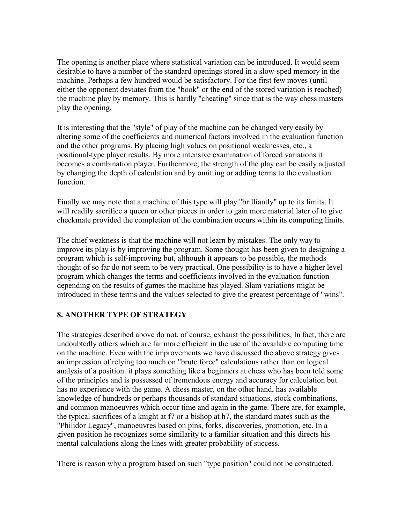The opening is another place where statistical variation can be introduced. It would seem desirable to have a number of the standard openings stored in a slow-sped memory in the machine. Perhaps a few hundred would be satisfactory. For the first few moves (until either the opponent deviates from the "book" or the end of the stored variation is reached) the machine play by memory. This is hardly "cheating" since that is the way chess masters play the opening.

It is interesting that the "style" of play of the machine can be changed very easily by altering some of the coefficients and numerical factors involved in the evaluation function and the other programs. By placing high values on positional weaknesses, etc., a positional-type player results. By more intensive examination of forced variations it becomes a combination player. Furthermore, the strength of the play can be easily adjusted by changing the depth of calculation and by omitting or adding terms to the evaluation function.

Finally we may note that a machine of this type will play "brilliantly" up to its limits. It will readily sacrifice a queen or other pieces in order to gain more material later of to give checkmate provided the completion of the combination occurs within its computing limits.

The chief weakness is that the machine will not learn by mistakes. The only way to improve its play is by improving the program. Some thought has been given to designing a program which is self-improving but, although it appears to be possible, the methods thought of so far do not seem to be very practical. One possibility is to have a higher level program which changes the terms and coefficients involved in the evaluation function depending on the results of games the machine has played. Slam variations might be introduced in these terms and the values selected to give the greatest percentage of "wins".

### **8. ANOTHER TYPE OF STRATEGY**

The strategies described above do not, of course, exhaust the possibilities, In fact, there are undoubtedly others which are far more efficient in the use of the available computing time on the machine. Even with the improvements we have discussed the above strategy gives an impression of relying too much on "brute force" calculations rather than on logical analysis of a position. it plays something like a beginners at chess who has been told some of the principles and is possessed of tremendous energy and accuracy for calculation but has no experience with the game. A chess master, on the other hand, has available knowledge of hundreds or perhaps thousands of standard situations, stock combinations, and common manoeuvres which occur time and again in the game. There are, for example, the typical sacrifices of a knight at f7 or a bishop at h7, the standard mates such as the "Philidor Legacy", manoeuvres based on pins, forks, discoveries, promotion, etc. In a given position he recognizes some similarity to a familiar situation and this directs his mental calculations along the lines with greater probability of success.

There is reason why a program based on such "type position" could not be constructed.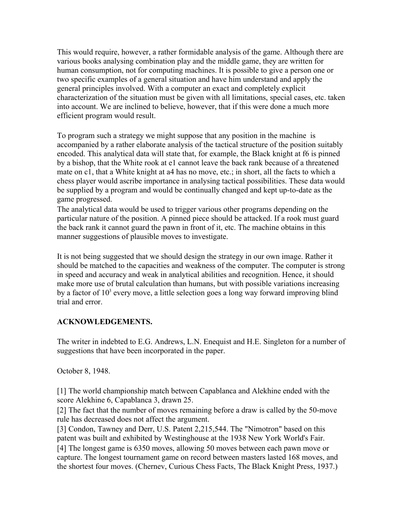This would require, however, a rather formidable analysis of the game. Although there are various books analysing combination play and the middle game, they are written for human consumption, not for computing machines. It is possible to give a person one or two specific examples of a general situation and have him understand and apply the general principles involved. With a computer an exact and completely explicit characterization of the situation must be given with all limitations, special cases, etc. taken into account. We are inclined to believe, however, that if this were done a much more efficient program would result.

To program such a strategy we might suppose that any position in the machine is accompanied by a rather elaborate analysis of the tactical structure of the position suitably encoded. This analytical data will state that, for example, the Black knight at f6 is pinned by a bishop, that the White rook at e1 cannot leave the back rank because of a threatened mate on c1, that a White knight at a4 has no move, etc.; in short, all the facts to which a chess player would ascribe importance in analysing tactical possibilities. These data would be supplied by a program and would be continually changed and kept up-to-date as the game progressed.

The analytical data would be used to trigger various other programs depending on the particular nature of the position. A pinned piece should be attacked. If a rook must guard the back rank it cannot guard the pawn in front of it, etc. The machine obtains in this manner suggestions of plausible moves to investigate.

It is not being suggested that we should design the strategy in our own image. Rather it should be matched to the capacities and weakness of the computer. The computer is strong in speed and accuracy and weak in analytical abilities and recognition. Hence, it should make more use of brutal calculation than humans, but with possible variations increasing by a factor of  $10<sup>3</sup>$  every move, a little selection goes a long way forward improving blind trial and error.

### **ACKNOWLEDGEMENTS.**

The writer in indebted to E.G. Andrews, L.N. Enequist and H.E. Singleton for a number of suggestions that have been incorporated in the paper.

October 8, 1948.

[1] The world championship match between Capablanca and Alekhine ended with the score Alekhine 6, Capablanca 3, drawn 25.

[2] The fact that the number of moves remaining before a draw is called by the 50-move rule has decreased does not affect the argument.

[3] Condon, Tawney and Derr, U.S. Patent 2,215,544. The "Nimotron" based on this patent was built and exhibited by Westinghouse at the 1938 New York World's Fair.

[4] The longest game is 6350 moves, allowing 50 moves between each pawn move or capture. The longest tournament game on record between masters lasted 168 moves, and the shortest four moves. (Chernev, Curious Chess Facts, The Black Knight Press, 1937.)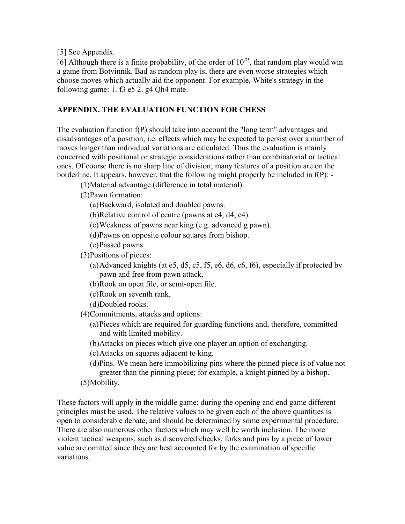[5] See Appendix.

[6] Although there is a finite probability, of the order of  $10^{-75}$ , that random play would win a game from Botvinnik. Bad as random play is, there are even worse strategies which choose moves which actually aid the opponent. For example, White's strategy in the following game: 1. f3 e5 2. g4 Qh4 mate.

## **APPENDIX. THE EVALUATION FUNCTION FOR CHESS**

The evaluation function f(P) should take into account the "long term" advantages and disadvantages of a position, i.e. effects which may be expected to persist over a number of moves longer than individual variations are calculated. Thus the evaluation is mainly concerned with positional or strategic considerations rather than combinatorial or tactical ones. Of course there is no sharp line of division; many features of a position are on the borderline. It appears, however, that the following might properly be included in f(P): -

(1)Material advantage (difference in total material).

(2)Pawn formation:

(a)Backward, isolated and doubled pawns.

(b)Relative control of centre (pawns at e4, d4, c4).

(c)Weakness of pawns near king (e.g. advanced g pawn).

(d)Pawns on opposite colour squares from bishop.

(e)Passed pawns.

(3)Positions of pieces:

- (a)Advanced knights (at e5, d5, c5, f5, e6, d6, c6, f6), especially if protected by pawn and free from pawn attack.
- (b)Rook on open file, or semi-open file.
- (c)Rook on seventh rank.
- (d)Doubled rooks.

(4)Commitments, attacks and options:

- (a)Pieces which are required for guarding functions and, therefore, committed and with limited mobility.
- (b)Attacks on pieces which give one player an option of exchanging.
- (c)Attacks on squares adjacent to king.
- (d)Pins. We mean here immobilizing pins where the pinned piece is of value not greater than the pinning piece; for example, a knight pinned by a bishop.
- (5)Mobility.

These factors will apply in the middle game: during the opening and end game different principles must be used. The relative values to be given each of the above quantities is open to considerable debate, and should be determined by some experimental procedure. There are also numerous other factors which may well be worth inclusion. The more violent tactical weapons, such as discovered checks, forks and pins by a piece of lower value are omitted since they are best accounted for by the examination of specific variations.